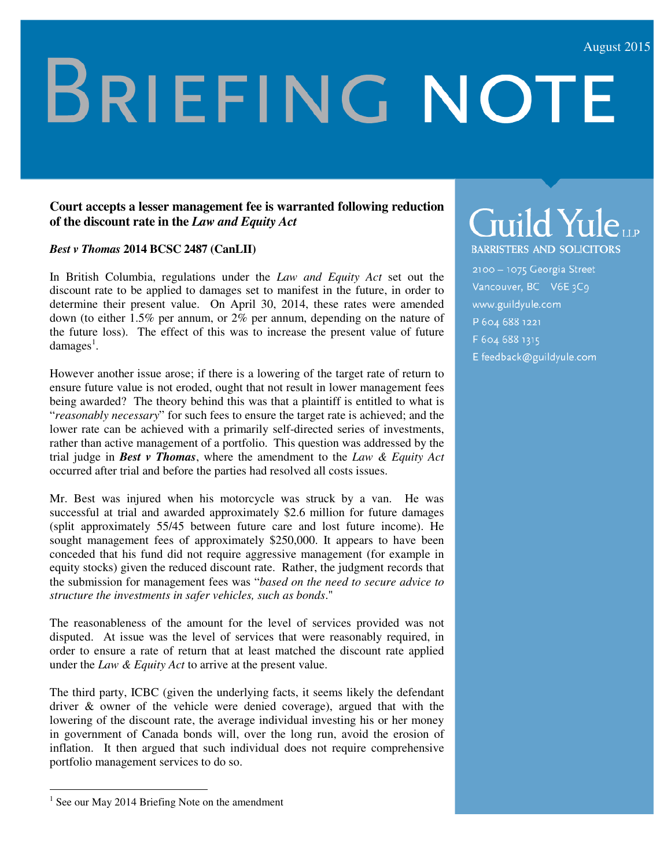# **BRIEFING NOTE**

#### **Court accepts a lesser management fee is warranted following reduction of the discount rate in the** *Law and Equity Act*

*Best v Thomas* **2014 BCSC 2487 (CanLII)** 

In British Columbia, regulations under the *Law and Equity Act* set out the discount rate to be applied to damages set to manifest in the future, in order to determine their present value. On April 30, 2014, these rates were amended down (to either 1.5% per annum, or 2% per annum, depending on the nature of the future loss). The effect of this was to increase the present value of future  $damages<sup>1</sup>$ .

However another issue arose; if there is a lowering of the target rate of return to ensure future value is not eroded, ought that not result in lower management fees being awarded? The theory behind this was that a plaintiff is entitled to what is "*reasonably necessary*" for such fees to ensure the target rate is achieved; and the lower rate can be achieved with a primarily self-directed series of investments, rather than active management of a portfolio. This question was addressed by the trial judge in *Best v Thomas*, where the amendment to the *Law & Equity Act*  occurred after trial and before the parties had resolved all costs issues.

Mr. Best was injured when his motorcycle was struck by a van. He was successful at trial and awarded approximately \$2.6 million for future damages (split approximately 55/45 between future care and lost future income). He sought management fees of approximately \$250,000. It appears to have been conceded that his fund did not require aggressive management (for example in equity stocks) given the reduced discount rate. Rather, the judgment records that the submission for management fees was "*based on the need to secure advice to structure the investments in safer vehicles, such as bonds*."

The reasonableness of the amount for the level of services provided was not disputed. At issue was the level of services that were reasonably required, in order to ensure a rate of return that at least matched the discount rate applied under the *Law & Equity Act* to arrive at the present value.

The third party, ICBC (given the underlying facts, it seems likely the defendant driver & owner of the vehicle were denied coverage), argued that with the lowering of the discount rate, the average individual investing his or her money in government of Canada bonds will, over the long run, avoid the erosion of inflation. It then argued that such individual does not require comprehensive portfolio management services to do so.

<u>.</u>

## Guild Yuleup

**BARRISTERS AND SOLICITORS** 

2100 - 1075 Georgia Street Vancouver, BC V6E3C9 www.guildyule.com P 604 688 1221 F 604 688 1315 E feedback@guildyule.com

<sup>&</sup>lt;sup>1</sup> See our May 2014 Briefing Note on the amendment